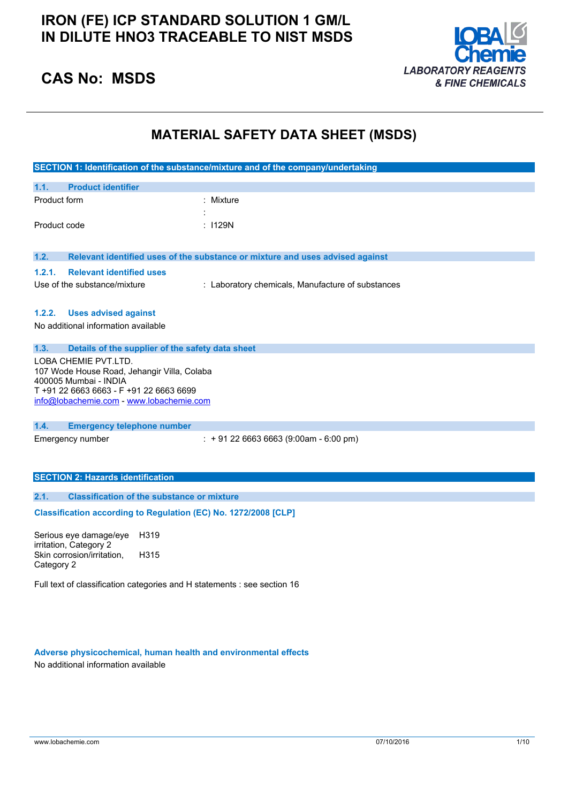### **IRON (FE) ICP STANDARD SOLUTION 1 GM/L IN DILUTE HNO3 TRACEABLE TO NIST MSDS**



### **CAS No: MSDS**

### **MATERIAL SAFETY DATA SHEET (MSDS)**

|              |                                                                      | SECTION 1: Identification of the substance/mixture and of the company/undertaking |  |
|--------------|----------------------------------------------------------------------|-----------------------------------------------------------------------------------|--|
| 1.1.         | <b>Product identifier</b>                                            |                                                                                   |  |
| Product form |                                                                      | : Mixture                                                                         |  |
|              |                                                                      |                                                                                   |  |
| Product code |                                                                      | : 1129N                                                                           |  |
|              |                                                                      |                                                                                   |  |
| 1.2.         |                                                                      | Relevant identified uses of the substance or mixture and uses advised against     |  |
| 1.2.1.       | <b>Relevant identified uses</b>                                      |                                                                                   |  |
|              | Use of the substance/mixture                                         | : Laboratory chemicals, Manufacture of substances                                 |  |
|              |                                                                      |                                                                                   |  |
| 1.2.2.       | <b>Uses advised against</b>                                          |                                                                                   |  |
|              | No additional information available                                  |                                                                                   |  |
| 1.3.         | Details of the supplier of the safety data sheet                     |                                                                                   |  |
|              | LOBA CHEMIE PVT.LTD.                                                 |                                                                                   |  |
|              | 107 Wode House Road, Jehangir Villa, Colaba<br>400005 Mumbai - INDIA |                                                                                   |  |
|              | T +91 22 6663 6663 - F +91 22 6663 6699                              |                                                                                   |  |
|              | info@lobachemie.com - www.lobachemie.com                             |                                                                                   |  |
|              |                                                                      |                                                                                   |  |
| 1.4.         | <b>Emergency telephone number</b><br>Emergency number                | $: +912266636663(9:00am - 6:00 pm)$                                               |  |
|              |                                                                      |                                                                                   |  |
|              |                                                                      |                                                                                   |  |
|              | <b>SECTION 2: Hazards identification</b>                             |                                                                                   |  |
| 2.1.         | <b>Classification of the substance or mixture</b>                    |                                                                                   |  |
|              | Classification according to Regulation (EC) No. 1272/2008 [CLP]      |                                                                                   |  |
|              |                                                                      |                                                                                   |  |
|              | H319<br>Serious eye damage/eye                                       |                                                                                   |  |
|              | irritation, Category 2<br>Skin corrosion/irritation,<br>H315         |                                                                                   |  |
| Category 2   |                                                                      |                                                                                   |  |

Full text of classification categories and H statements : see section 16

**Adverse physicochemical, human health and environmental effects** No additional information available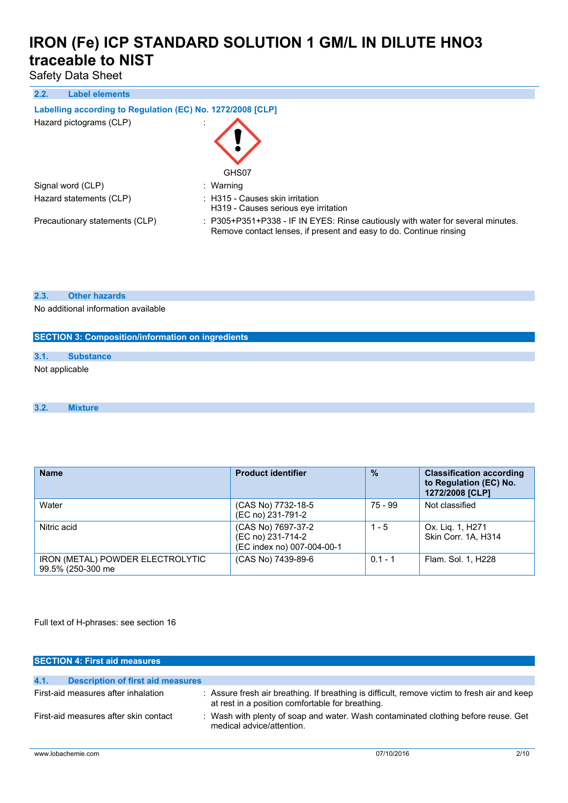Safety Data Sheet

**2.2. Label elements**

#### **Labelling according to** Regulation (EC) No. 1272/2008 [CLP]

| Hazard pictograms (CLP)        | GHS07                                                                                                                                                 |
|--------------------------------|-------------------------------------------------------------------------------------------------------------------------------------------------------|
| Signal word (CLP)              | : Warning                                                                                                                                             |
| Hazard statements (CLP)        | : H315 - Causes skin irritation<br>H319 - Causes serious eve irritation                                                                               |
| Precautionary statements (CLP) | : P305+P351+P338 - IF IN EYES: Rinse cautiously with water for several minutes.<br>Remove contact lenses, if present and easy to do. Continue rinsing |

#### **2.3. Other hazards**

No additional information available

# **SECTION 3: Composition/information on ingredients 3.1. Substance** Not applicable

#### **3.2. Mixture**

| <b>Name</b>                                           | <b>Product identifier</b>                                             | $\frac{0}{0}$ | <b>Classification according</b><br>to Regulation (EC) No.<br>1272/2008 [CLP] |
|-------------------------------------------------------|-----------------------------------------------------------------------|---------------|------------------------------------------------------------------------------|
| Water                                                 | (CAS No) 7732-18-5<br>(EC no) 231-791-2                               | 75 - 99       | Not classified                                                               |
| Nitric acid                                           | (CAS No) 7697-37-2<br>(EC no) 231-714-2<br>(EC index no) 007-004-00-1 | $1 - 5$       | Ox. Lig. 1, H271<br>Skin Corr. 1A, H314                                      |
| IRON (METAL) POWDER ELECTROLYTIC<br>99.5% (250-300 me | (CAS No) 7439-89-6                                                    | $0.1 - 1$     | Flam. Sol. 1, H228                                                           |

Full text of H-phrases: see section 16

| <b>SECTION 4: First aid measures</b>             |                                                                                                                                                  |
|--------------------------------------------------|--------------------------------------------------------------------------------------------------------------------------------------------------|
| 4.1.<br><b>Description of first aid measures</b> |                                                                                                                                                  |
| First-aid measures after inhalation              | : Assure fresh air breathing. If breathing is difficult, remove victim to fresh air and keep<br>at rest in a position comfortable for breathing. |
| First-aid measures after skin contact            | Wash with plenty of soap and water. Wash contaminated clothing before reuse. Get<br>medical advice/attention.                                    |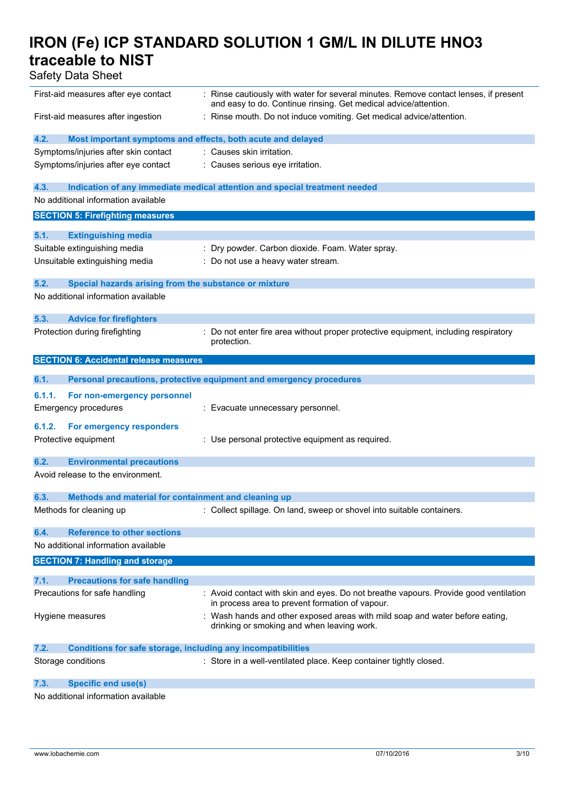Safety Data Sheet

| First-aid measures after eye contact                                |                                                                                                                                                         |
|---------------------------------------------------------------------|---------------------------------------------------------------------------------------------------------------------------------------------------------|
|                                                                     | : Rinse cautiously with water for several minutes. Remove contact lenses, if present<br>and easy to do. Continue rinsing. Get medical advice/attention. |
| First-aid measures after ingestion                                  | : Rinse mouth. Do not induce vomiting. Get medical advice/attention.                                                                                    |
| 4.2.                                                                | Most important symptoms and effects, both acute and delayed                                                                                             |
| Symptoms/injuries after skin contact                                | : Causes skin irritation.                                                                                                                               |
| Symptoms/injuries after eye contact                                 | : Causes serious eye irritation.                                                                                                                        |
|                                                                     |                                                                                                                                                         |
| 4.3.                                                                | Indication of any immediate medical attention and special treatment needed                                                                              |
| No additional information available                                 |                                                                                                                                                         |
| <b>SECTION 5: Firefighting measures</b>                             |                                                                                                                                                         |
| 5.1.<br><b>Extinguishing media</b>                                  |                                                                                                                                                         |
| Suitable extinguishing media                                        | : Dry powder. Carbon dioxide. Foam. Water spray.                                                                                                        |
| Unsuitable extinguishing media                                      | : Do not use a heavy water stream.                                                                                                                      |
|                                                                     |                                                                                                                                                         |
| 5.2.<br>Special hazards arising from the substance or mixture       |                                                                                                                                                         |
| No additional information available                                 |                                                                                                                                                         |
| 5.3.<br><b>Advice for firefighters</b>                              |                                                                                                                                                         |
| Protection during firefighting                                      | : Do not enter fire area without proper protective equipment, including respiratory                                                                     |
|                                                                     | protection.                                                                                                                                             |
| <b>SECTION 6: Accidental release measures</b>                       |                                                                                                                                                         |
|                                                                     |                                                                                                                                                         |
| 6.1.                                                                | Personal precautions, protective equipment and emergency procedures                                                                                     |
| For non-emergency personnel<br>6.1.1.                               |                                                                                                                                                         |
| <b>Emergency procedures</b>                                         | : Evacuate unnecessary personnel.                                                                                                                       |
| 6.1.2.<br>For emergency responders                                  |                                                                                                                                                         |
|                                                                     |                                                                                                                                                         |
| Protective equipment                                                | : Use personal protective equipment as required.                                                                                                        |
| 6.2.<br><b>Environmental precautions</b>                            |                                                                                                                                                         |
| Avoid release to the environment.                                   |                                                                                                                                                         |
|                                                                     |                                                                                                                                                         |
|                                                                     |                                                                                                                                                         |
| 6.3.<br>Methods and material for containment and cleaning up        |                                                                                                                                                         |
| Methods for cleaning up                                             | : Collect spillage. On land, sweep or shovel into suitable containers.                                                                                  |
|                                                                     |                                                                                                                                                         |
| <b>Reference to other sections</b><br>6.4.                          |                                                                                                                                                         |
| No additional information available                                 |                                                                                                                                                         |
| <b>SECTION 7: Handling and storage</b>                              |                                                                                                                                                         |
| 7.1.<br><b>Precautions for safe handling</b>                        |                                                                                                                                                         |
| Precautions for safe handling                                       | : Avoid contact with skin and eyes. Do not breathe vapours. Provide good ventilation                                                                    |
|                                                                     | in process area to prevent formation of vapour.                                                                                                         |
| Hygiene measures                                                    | : Wash hands and other exposed areas with mild soap and water before eating,                                                                            |
|                                                                     | drinking or smoking and when leaving work.                                                                                                              |
| 7.2.                                                                |                                                                                                                                                         |
| <b>Conditions for safe storage, including any incompatibilities</b> |                                                                                                                                                         |
| Storage conditions                                                  | : Store in a well-ventilated place. Keep container tightly closed.                                                                                      |

No additional information available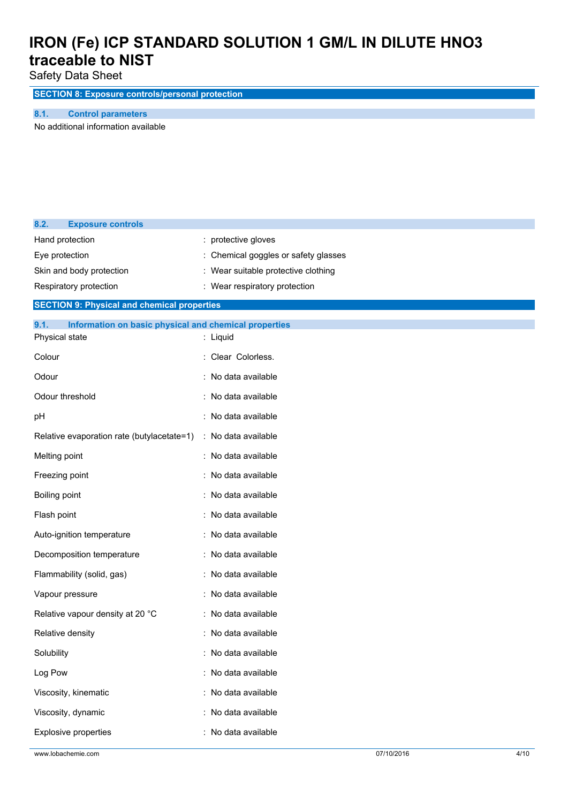Safety Data Sheet

**SECTION 8: Exposure controls/personal protection**

**8.1. Control parameters**

No additional information available

| 8.2.<br><b>Exposure controls</b>                              |                                     |
|---------------------------------------------------------------|-------------------------------------|
| Hand protection                                               | : protective gloves                 |
| Eye protection                                                | Chemical goggles or safety glasses  |
| Skin and body protection                                      | : Wear suitable protective clothing |
| Respiratory protection                                        | : Wear respiratory protection       |
| <b>SECTION 9: Physical and chemical properties</b>            |                                     |
| 9.1.<br>Information on basic physical and chemical properties |                                     |
| Physical state                                                | : Liquid                            |
| Colour                                                        | : Clear Colorless.                  |
| Odour                                                         | : No data available                 |
| Odour threshold                                               | : No data available                 |
| pH                                                            | No data available                   |
| Relative evaporation rate (butylacetate=1)                    | : No data available                 |
| Melting point                                                 | : No data available                 |
| Freezing point                                                | No data available                   |
| Boiling point                                                 | No data available                   |
| Flash point                                                   | : No data available                 |
| Auto-ignition temperature                                     | : No data available                 |
| Decomposition temperature                                     | : No data available                 |
| Flammability (solid, gas)                                     | : No data available                 |
| Vapour pressure                                               | : No data available                 |
| Relative vapour density at 20 °C                              | : No data available                 |
| Relative density                                              | No data available                   |
| Solubility                                                    | No data available                   |
| Log Pow                                                       | No data available                   |
| Viscosity, kinematic                                          | : No data available                 |
| Viscosity, dynamic                                            | No data available                   |
| Explosive properties                                          | : No data available                 |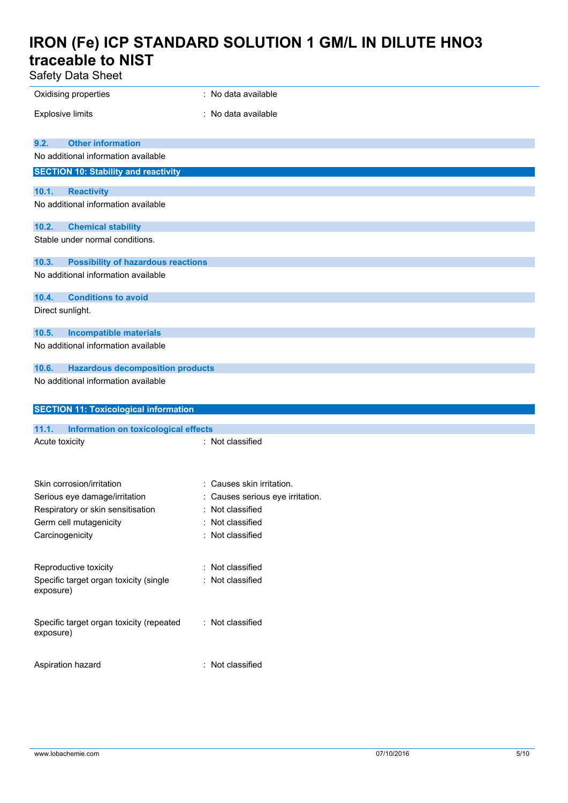Safety Data Sheet

| Salely Dala Sileel                                                      |                                  |
|-------------------------------------------------------------------------|----------------------------------|
| Oxidising properties                                                    | : No data available              |
| <b>Explosive limits</b>                                                 | : No data available              |
|                                                                         |                                  |
| <b>Other information</b><br>9.2.<br>No additional information available |                                  |
| <b>SECTION 10: Stability and reactivity</b>                             |                                  |
|                                                                         |                                  |
| 10.1.<br><b>Reactivity</b><br>No additional information available       |                                  |
|                                                                         |                                  |
| 10.2.<br><b>Chemical stability</b>                                      |                                  |
| Stable under normal conditions.                                         |                                  |
| 10.3.<br><b>Possibility of hazardous reactions</b>                      |                                  |
| No additional information available                                     |                                  |
| 10.4.<br><b>Conditions to avoid</b>                                     |                                  |
| Direct sunlight.                                                        |                                  |
| 10.5.<br><b>Incompatible materials</b>                                  |                                  |
| No additional information available                                     |                                  |
| 10.6.<br><b>Hazardous decomposition products</b>                        |                                  |
| No additional information available                                     |                                  |
|                                                                         |                                  |
| <b>SECTION 11: Toxicological information</b>                            |                                  |
| 11.1.<br><b>Information on toxicological effects</b>                    |                                  |
| Acute toxicity                                                          | : Not classified                 |
|                                                                         |                                  |
| Skin corrosion/irritation                                               | : Causes skin irritation.        |
| Serious eye damage/irritation                                           | : Causes serious eye irritation. |
| Respiratory or skin sensitisation                                       | Not classified                   |
| Germ cell mutagenicity                                                  | Not classified                   |
| Carcinogenicity                                                         | : Not classified                 |
|                                                                         |                                  |
| Reproductive toxicity                                                   | : Not classified                 |
| Specific target organ toxicity (single<br>exposure)                     | : Not classified                 |
| Specific target organ toxicity (repeated<br>exposure)                   | : Not classified                 |
| Aspiration hazard                                                       | : Not classified                 |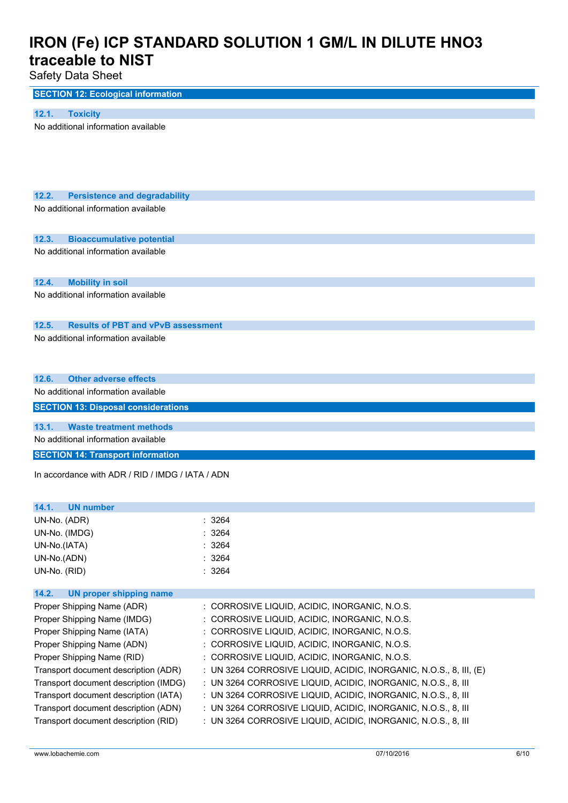### Safety Data Sheet

| <b>SECTION 12: Ecological information</b> |  |
|-------------------------------------------|--|
|                                           |  |

| 12.1. |  | Toxicity |
|-------|--|----------|
|       |  |          |

No additional information available

| 12.2. |  | <b>Persistence and degradability</b> |
|-------|--|--------------------------------------|
|       |  |                                      |

No additional information available

#### **12.3. Bioaccumulative potential**

No additional information available

**12.4. Mobility in soil**

No additional information available

#### **12.5. Results of PBT and vPvB assessment**

No additional information available

#### **12.6. Other adverse effects**

No additional information available

**SECTION 13: Disposal considerations**

#### **13.1. Waste treatment methods**

No additional information available

**SECTION 14: Transport information**

In accordance with ADR / RID / IMDG / IATA / ADN

### **14.1. UN number** UN-No. (ADR) : 3264 UN-No. (IMDG) : 3264 UN-No.(IATA) : 3264 UN-No.(ADN) : 3264 UN-No. (RID) : 3264 **14.2. UN proper shipping name** Proper Shipping Name (ADR) : CORROSIVE LIQUID, ACIDIC, INORGANIC, N.O.S. Proper Shipping Name (IMDG) : CORROSIVE LIQUID, ACIDIC, INORGANIC, N.O.S. Proper Shipping Name (IATA) : CORROSIVE LIQUID, ACIDIC, INORGANIC, N.O.S. Proper Shipping Name (ADN) : CORROSIVE LIQUID, ACIDIC, INORGANIC, N.O.S. Proper Shipping Name (RID) : CORROSIVE LIQUID, ACIDIC, INORGANIC, N.O.S. Transport document description (ADR) : UN 3264 CORROSIVE LIQUID, ACIDIC, INORGANIC, N.O.S., 8, III, (E) Transport document description (IMDG) : UN 3264 CORROSIVE LIQUID, ACIDIC, INORGANIC, N.O.S., 8, III Transport document description (IATA) : UN 3264 CORROSIVE LIQUID, ACIDIC, INORGANIC, N.O.S., 8, III Transport document description (ADN) : UN 3264 CORROSIVE LIQUID, ACIDIC, INORGANIC, N.O.S., 8, III Transport document description (RID) : UN 3264 CORROSIVE LIQUID, ACIDIC, INORGANIC, N.O.S., 8, III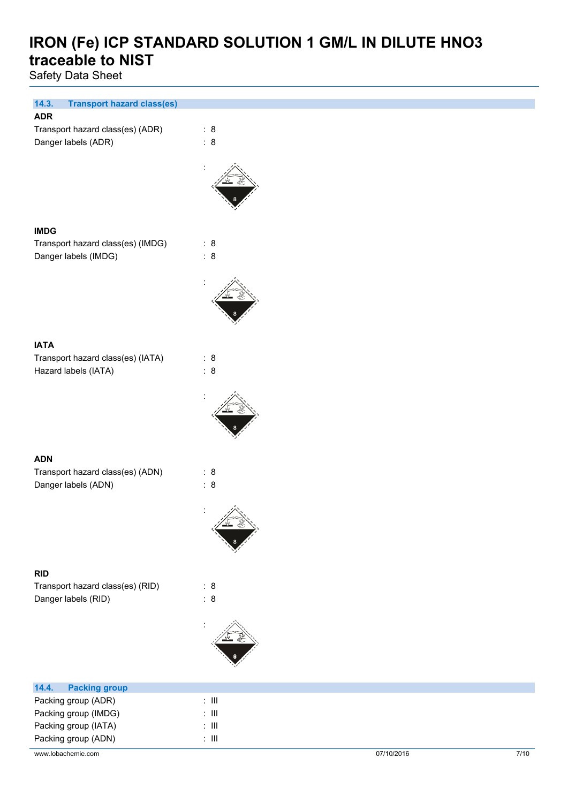Safety Data Sheet

| 14.3.<br><b>Transport hazard class(es)</b><br><b>ADR</b> |                      |
|----------------------------------------------------------|----------------------|
|                                                          |                      |
| Transport hazard class(es) (ADR)                         | : 8                  |
| Danger labels (ADR)                                      | : 8                  |
|                                                          |                      |
|                                                          |                      |
|                                                          |                      |
|                                                          |                      |
|                                                          |                      |
|                                                          |                      |
| <b>IMDG</b>                                              |                      |
| Transport hazard class(es) (IMDG)                        | : 8                  |
| Danger labels (IMDG)                                     | : 8                  |
|                                                          |                      |
|                                                          |                      |
|                                                          |                      |
|                                                          |                      |
|                                                          |                      |
|                                                          |                      |
|                                                          |                      |
| <b>IATA</b>                                              |                      |
| Transport hazard class(es) (IATA)                        | : 8                  |
| Hazard labels (IATA)                                     | : 8                  |
|                                                          |                      |
|                                                          |                      |
|                                                          |                      |
|                                                          |                      |
|                                                          |                      |
|                                                          |                      |
| <b>ADN</b>                                               |                      |
| Transport hazard class(es) (ADN)                         | : 8                  |
| Danger labels (ADN)                                      | : 8                  |
|                                                          |                      |
|                                                          | $\ddot{\phantom{a}}$ |
|                                                          |                      |
|                                                          |                      |
|                                                          |                      |
|                                                          |                      |
|                                                          |                      |
| <b>RID</b>                                               |                      |
| Transport hazard class(es) (RID)                         | : 8                  |
| Danger labels (RID)                                      | : 8                  |
|                                                          |                      |
|                                                          |                      |
|                                                          |                      |
|                                                          |                      |
|                                                          |                      |
|                                                          |                      |
| 14.4.<br><b>Packing group</b>                            |                      |
| Packing group (ADR)                                      | $\div$ III           |
| Packing group (IMDG)                                     | $\div$ III           |

Packing group (IATA) : III Packing group (ADN) : III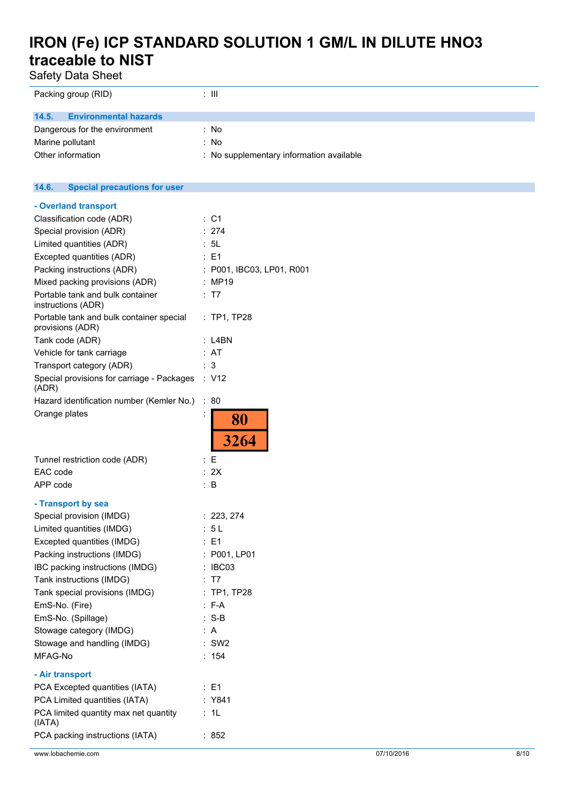| <b>Safety Data Sheet</b>                                     |                                          |  |
|--------------------------------------------------------------|------------------------------------------|--|
| Packing group (RID)                                          | $: \mathsf{III}$                         |  |
| 14.5.<br><b>Environmental hazards</b>                        |                                          |  |
| Dangerous for the environment                                | : No                                     |  |
| Marine pollutant                                             | : No                                     |  |
| Other information                                            | : No supplementary information available |  |
| 14.6.<br><b>Special precautions for user</b>                 |                                          |  |
| - Overland transport                                         |                                          |  |
| Classification code (ADR)                                    | : C1                                     |  |
| Special provision (ADR)                                      | : 274                                    |  |
| Limited quantities (ADR)                                     | : 5L                                     |  |
| Excepted quantities (ADR)                                    | $\therefore$ E1                          |  |
| Packing instructions (ADR)                                   | : P001, IBC03, LP01, R001                |  |
| Mixed packing provisions (ADR)                               | : MP19                                   |  |
| Portable tank and bulk container<br>instructions (ADR)       | : T7                                     |  |
| Portable tank and bulk container special<br>provisions (ADR) | : TP1, TP28                              |  |
| Tank code (ADR)                                              | $:$ L4BN                                 |  |
| Vehicle for tank carriage                                    | : AT                                     |  |
| Transport category (ADR)                                     | : 3                                      |  |
| Special provisions for carriage - Packages<br>(ADR)          | $\therefore$ V12                         |  |
| Hazard identification number (Kemler No.)                    | : 80                                     |  |
| Orange plates                                                | 80<br>3264                               |  |
| Tunnel restriction code (ADR)                                | $\mathbf{E}$                             |  |
| EAC code                                                     | : 2X                                     |  |
| APP code                                                     | $\therefore$ B                           |  |
| - Transport by sea                                           |                                          |  |
| Special provision (IMDG)                                     | : 223, 274                               |  |
| Limited quantities (IMDG)                                    | : 5L                                     |  |
| Excepted quantities (IMDG)                                   | $\therefore$ E1                          |  |
| Packing instructions (IMDG)                                  | : P001, LP01                             |  |
| IBC packing instructions (IMDG)                              | : IBC03                                  |  |
| Tank instructions (IMDG)                                     | : T7                                     |  |
| Tank special provisions (IMDG)                               | : TP1, TP28                              |  |
| EmS-No. (Fire)                                               | $: F-A$                                  |  |
| EmS-No. (Spillage)                                           | $: S-B$                                  |  |
| Stowage category (IMDG)                                      | : A                                      |  |
| Stowage and handling (IMDG)                                  | $:$ SW2                                  |  |
| MFAG-No                                                      | : 154                                    |  |
| - Air transport                                              |                                          |  |
| PCA Excepted quantities (IATA)                               | : E1                                     |  |
| PCA Limited quantities (IATA)                                | : Y841                                   |  |

(IATA)

PCA limited quantity max net quantity

PCA packing instructions (IATA) : 852

: 1L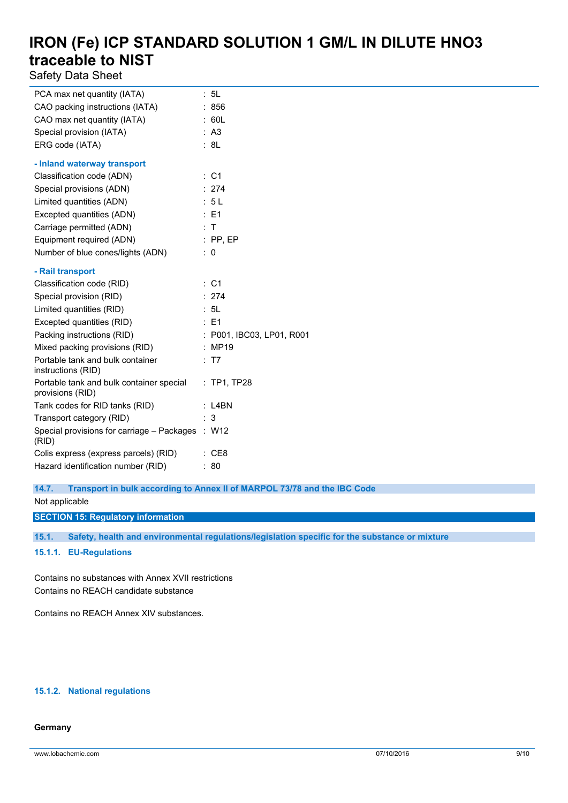Safety Data Sheet

| PCA max net quantity (IATA)                                  |   | 5L                        |
|--------------------------------------------------------------|---|---------------------------|
| CAO packing instructions (IATA)                              |   | : 856                     |
| CAO max net quantity (IATA)                                  |   | : 60L                     |
| Special provision (IATA)                                     |   | : A3                      |
| ERG code (IATA)                                              |   | : 8L                      |
| - Inland waterway transport                                  |   |                           |
| Classification code (ADN)                                    |   | $\therefore$ C1           |
| Special provisions (ADN)                                     |   | : 274                     |
| Limited quantities (ADN)                                     |   | : 5L                      |
| Excepted quantities (ADN)                                    |   | : E1                      |
| Carriage permitted (ADN)                                     |   | : T                       |
| Equipment required (ADN)                                     |   | $:$ PP, EP                |
| Number of blue cones/lights (ADN)                            | ÷ | 0                         |
| - Rail transport                                             |   |                           |
| Classification code (RID)                                    |   | : C1                      |
| Special provision (RID)                                      |   | : 274                     |
| Limited quantities (RID)                                     |   | : 5L                      |
| Excepted quantities (RID)                                    |   | : E1                      |
| Packing instructions (RID)                                   |   | : P001, IBC03, LP01, R001 |
| Mixed packing provisions (RID)                               |   | : MP19                    |
| Portable tank and bulk container<br>instructions (RID)       |   | : T7                      |
| Portable tank and bulk container special<br>provisions (RID) |   | : TP1, TP28               |
| Tank codes for RID tanks (RID)                               |   | $:$ L4BN                  |
| Transport category (RID)                                     |   | : 3                       |
| Special provisions for carriage - Packages : W12<br>(RID)    |   |                           |
| Colis express (express parcels) (RID)                        |   | : CE8                     |
| Hazard identification number (RID)                           |   | 80                        |

**14.7. Transport in bulk according to Annex II of MARPOL 73/78 and the IBC Code**

Not applicable

**SECTION 15: Regulatory information**

**15.1. Safety, health and environmental regulations/legislation specific for the substance or mixture**

**15.1.1. EU-Regulations**

Contains no substances with Annex XVII restrictions Contains no REACH candidate substance

Contains no REACH Annex XIV substances.

#### **15.1.2. National regulations**

#### **Germany**